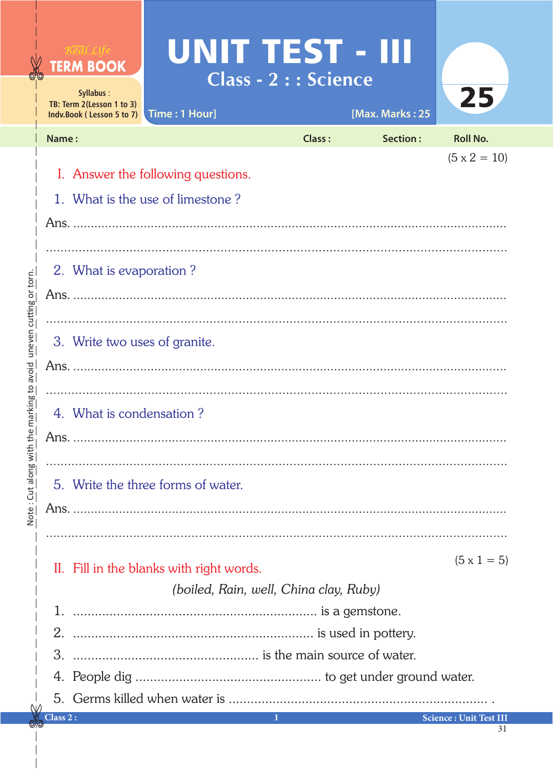|                                        |                                                         | <b>TERM BOOK</b><br>Syllabus:<br>TB: Term 2(Lesson 1 to 3)<br>Indv.Book (Lesson 5 to 7) | UNIT TEST - III<br>Time: 1 Hour]         | <b>Class - 2 : : Science</b> | [Max. Marks: 25 | 25                            |  |  |
|----------------------------------------|---------------------------------------------------------|-----------------------------------------------------------------------------------------|------------------------------------------|------------------------------|-----------------|-------------------------------|--|--|
|                                        |                                                         | Name:                                                                                   |                                          | Class:                       | Section:        | <b>Roll No.</b>               |  |  |
|                                        |                                                         |                                                                                         |                                          |                              |                 | $(5 \times 2 = 10)$           |  |  |
|                                        |                                                         | I. Answer the following questions.                                                      |                                          |                              |                 |                               |  |  |
|                                        |                                                         | 1. What is the use of limestone?                                                        |                                          |                              |                 |                               |  |  |
|                                        |                                                         |                                                                                         |                                          |                              |                 |                               |  |  |
|                                        |                                                         |                                                                                         |                                          |                              |                 |                               |  |  |
|                                        |                                                         | 2. What is evaporation?                                                                 |                                          |                              |                 |                               |  |  |
| $\bar{5}$                              |                                                         |                                                                                         |                                          |                              |                 |                               |  |  |
|                                        |                                                         |                                                                                         |                                          |                              |                 |                               |  |  |
| 3. Write two uses of granite.          |                                                         |                                                                                         |                                          |                              |                 |                               |  |  |
|                                        |                                                         |                                                                                         |                                          |                              |                 |                               |  |  |
|                                        |                                                         |                                                                                         |                                          |                              |                 |                               |  |  |
|                                        |                                                         | 4. What is condensation?                                                                |                                          |                              |                 |                               |  |  |
|                                        |                                                         |                                                                                         |                                          |                              |                 |                               |  |  |
|                                        |                                                         |                                                                                         |                                          |                              |                 |                               |  |  |
|                                        |                                                         |                                                                                         |                                          |                              |                 |                               |  |  |
| 5. Write the three forms of water.     |                                                         |                                                                                         |                                          |                              |                 |                               |  |  |
|                                        |                                                         |                                                                                         |                                          |                              |                 |                               |  |  |
|                                        |                                                         |                                                                                         |                                          |                              |                 |                               |  |  |
|                                        |                                                         |                                                                                         | II. Fill in the blanks with right words. |                              |                 | $(5 \times 1 = 5)$            |  |  |
| (boiled, Rain, well, China clay, Ruby) |                                                         |                                                                                         |                                          |                              |                 |                               |  |  |
|                                        | is a gemstone.<br>1.<br>is used in pottery.<br>2.<br>3. |                                                                                         |                                          |                              |                 |                               |  |  |
|                                        |                                                         |                                                                                         |                                          |                              |                 |                               |  |  |
|                                        |                                                         |                                                                                         |                                          |                              |                 |                               |  |  |
|                                        |                                                         |                                                                                         |                                          |                              |                 |                               |  |  |
|                                        |                                                         |                                                                                         |                                          |                              |                 |                               |  |  |
|                                        |                                                         | $\lambda$ lass 2 :                                                                      |                                          | 1                            |                 | <b>Science: Unit Test III</b> |  |  |